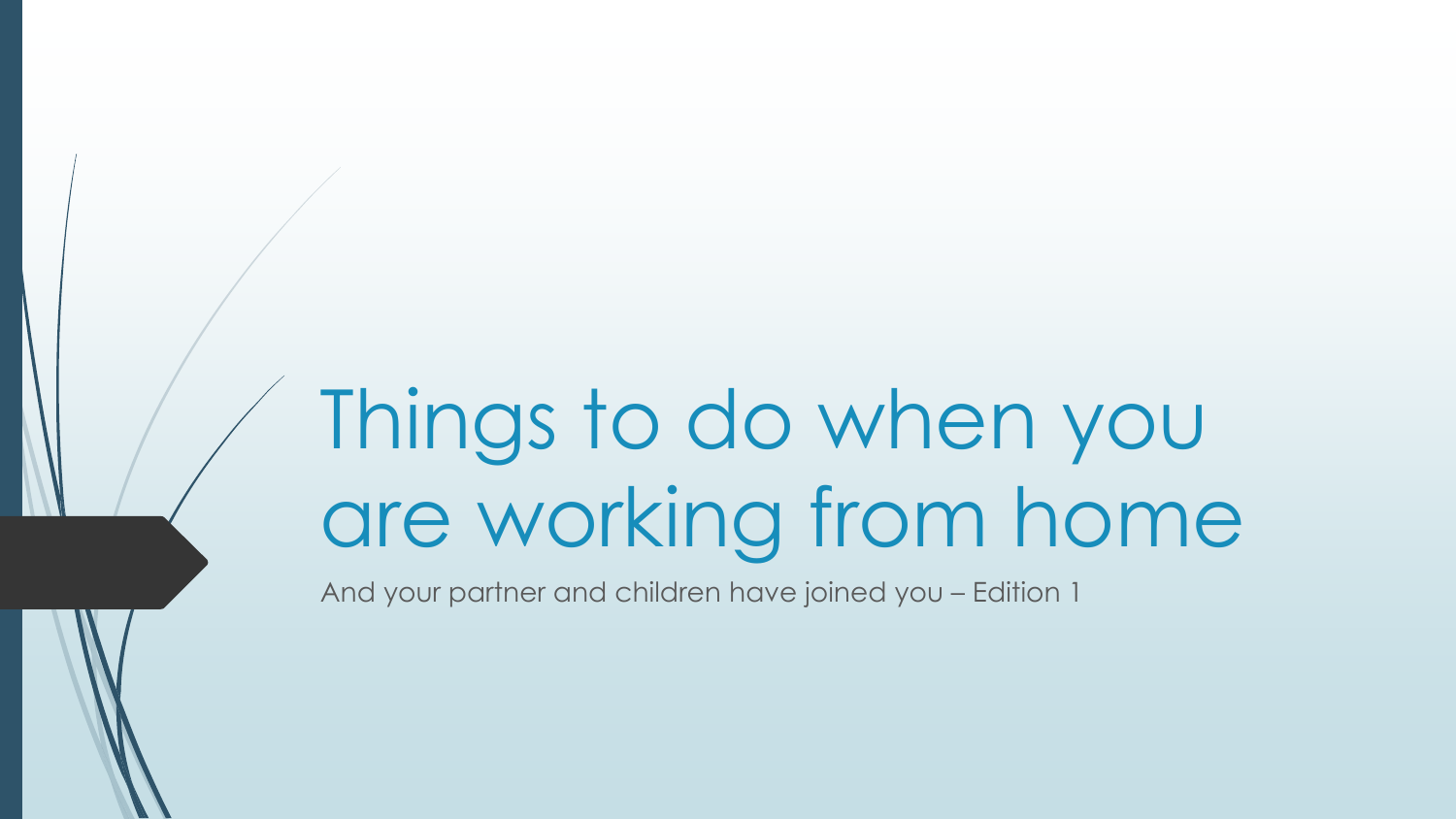# Things to do when you are working from home

And your partner and children have joined you – Edition 1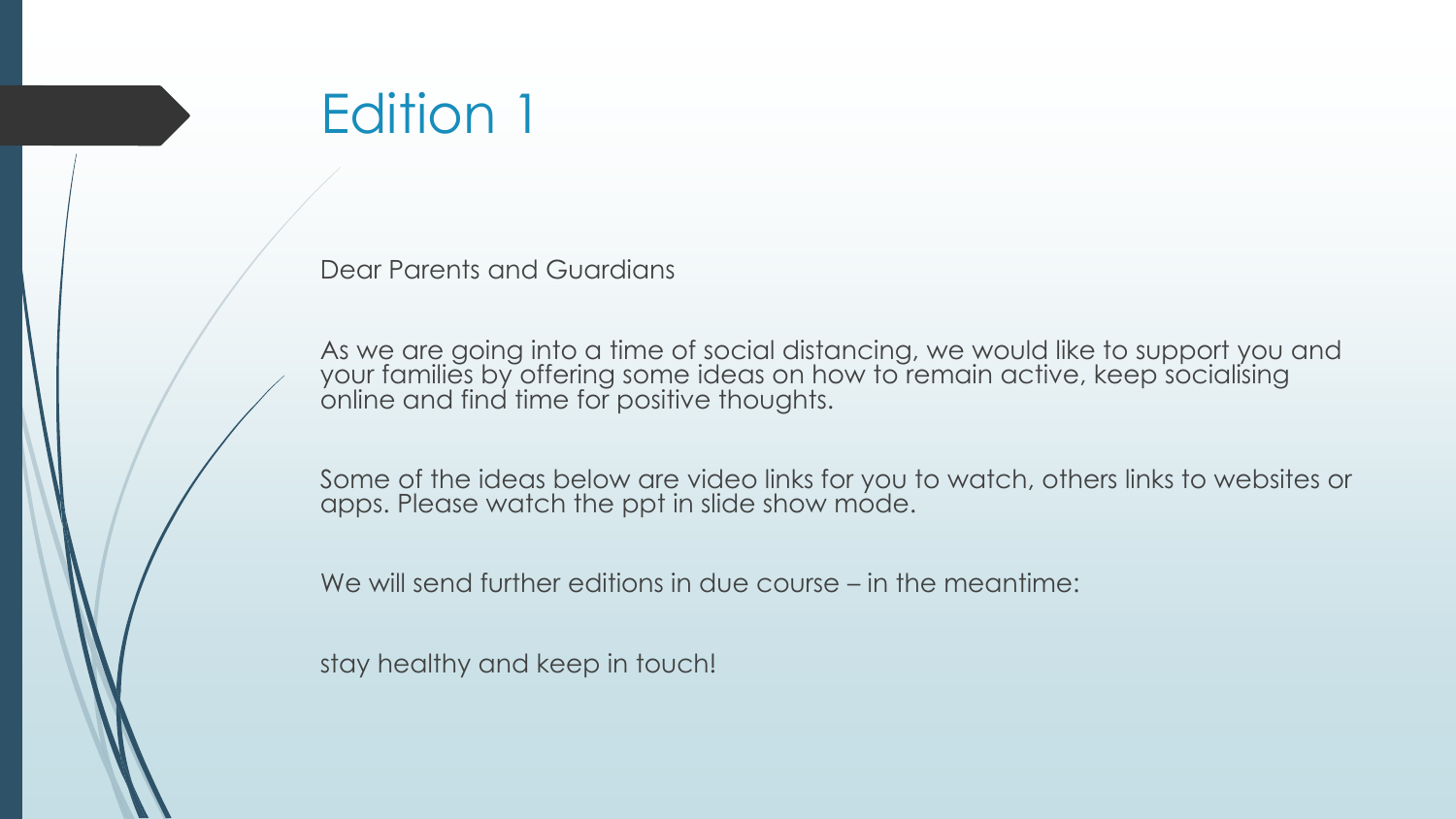## Edition 1

Dear Parents and Guardians

As we are going into a time of social distancing, we would like to support you and your families by offering some ideas on how to remain active, keep socialising online and find time for positive thoughts.

Some of the ideas below are video links for you to watch, others links to websites or apps. Please watch the ppt in slide show mode.

We will send further editions in due course – in the meantime:

stay healthy and keep in touch!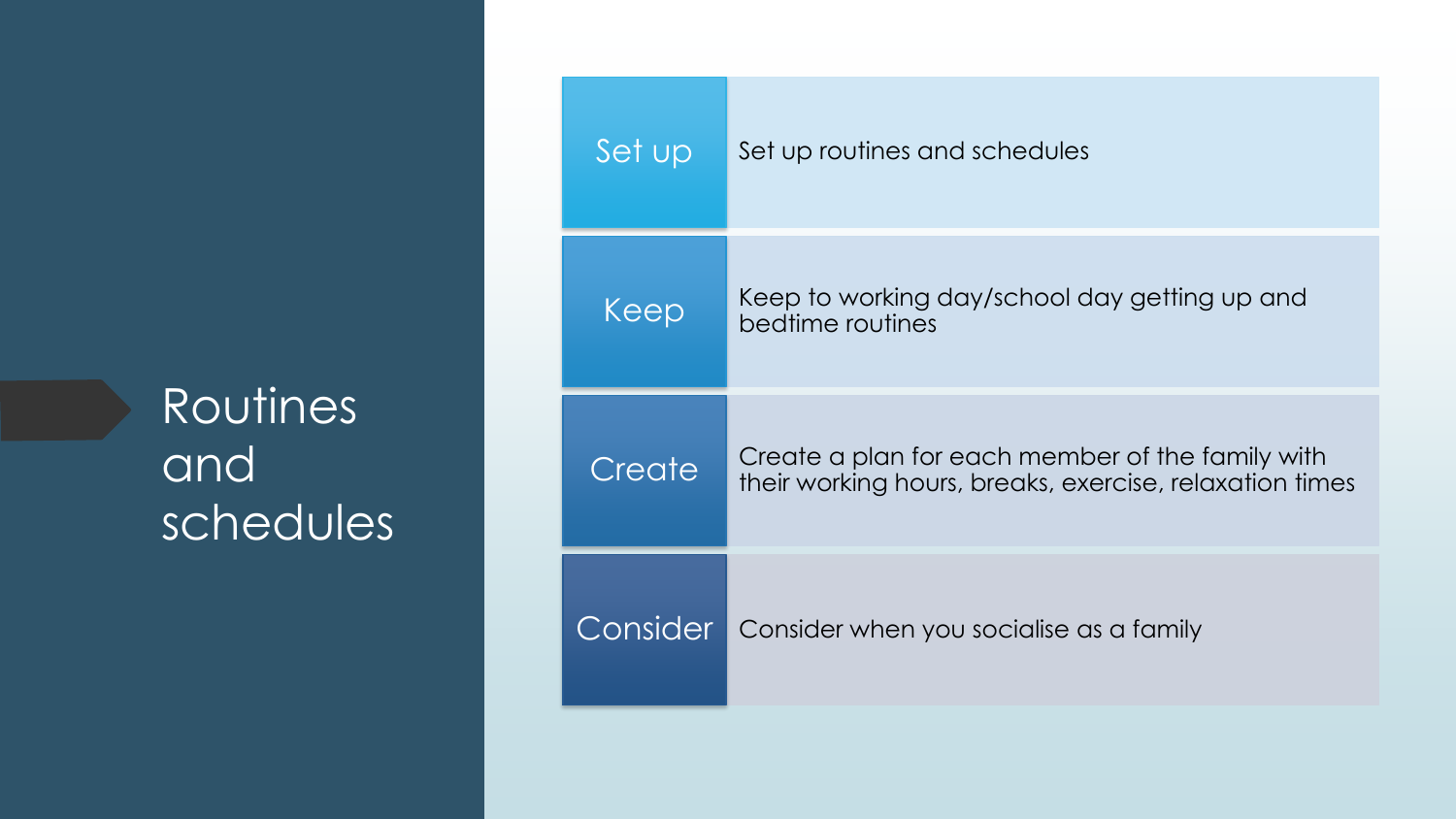#### Routines and schedules

| Set up   | Set up routines and schedules                                                                               |
|----------|-------------------------------------------------------------------------------------------------------------|
| Keep     | Keep to working day/school day getting up and<br>bedtime routines                                           |
| Create   | Create a plan for each member of the family with<br>their working hours, breaks, exercise, relaxation times |
| Consider | Consider when you socialise as a family                                                                     |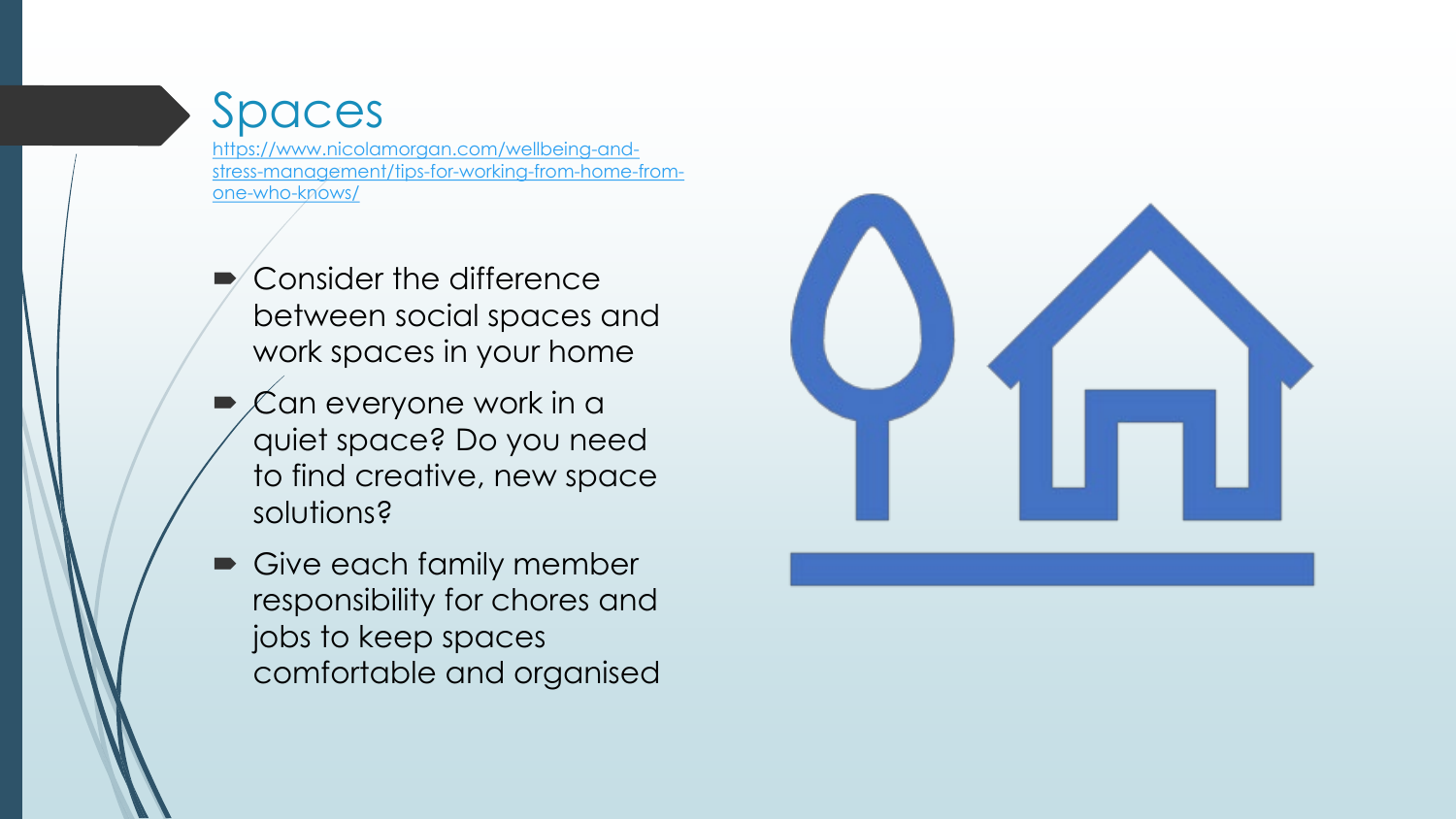#### Spaces

https://www.nicolamorgan.com/wellbeing-and[stress-management/tips-for-working-from-home-from](https://www.nicolamorgan.com/wellbeing-and-stress-management/tips-for-working-from-home-from-one-who-knows/)one-who-knows/

- Consider the difference between social spaces and work spaces in your home
- Can everyone work in a quiet space? Do you need to find creative, new space solutions?
- Give each family member responsibility for chores and jobs to keep spaces comfortable and organised

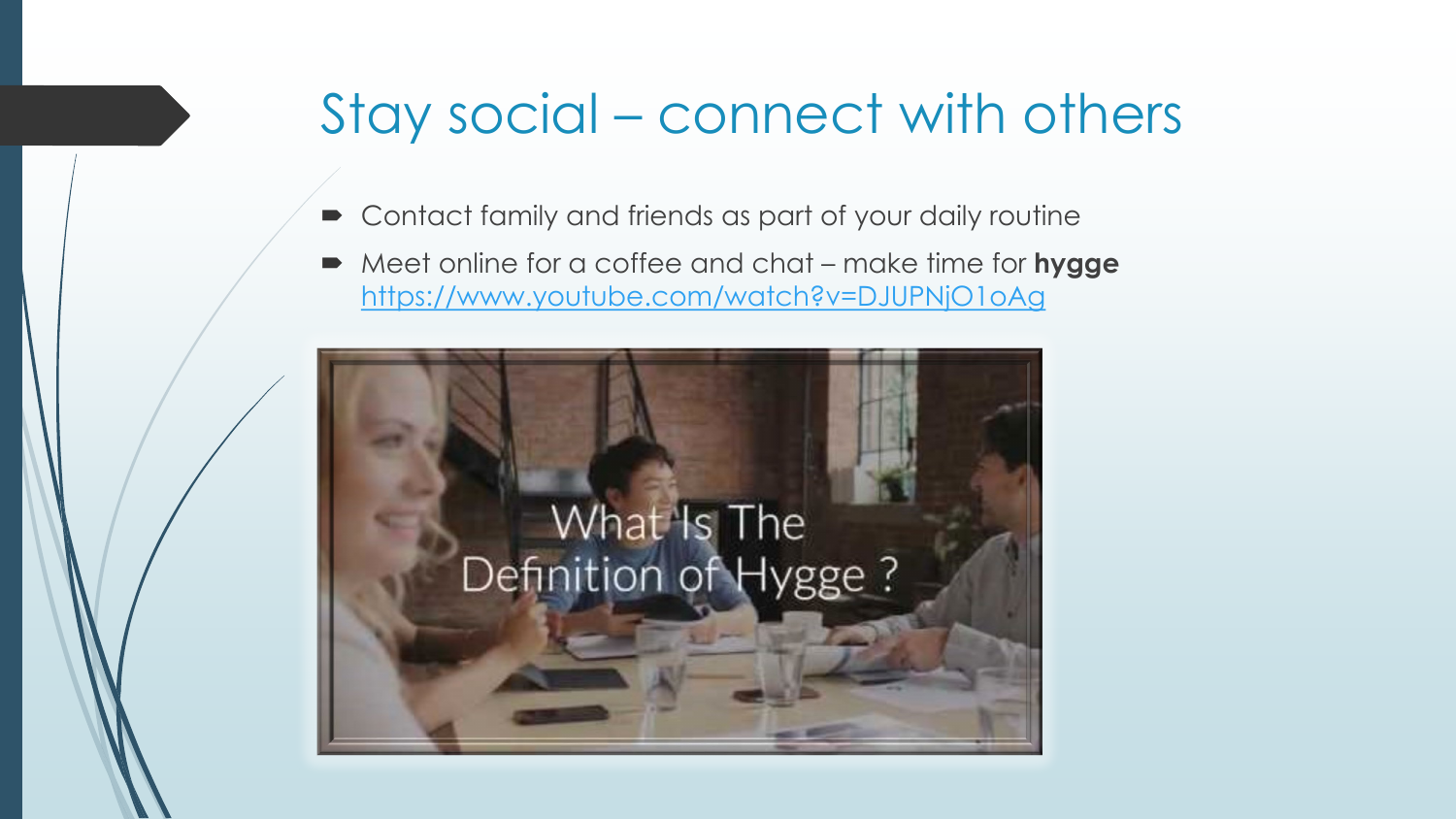### Stay social – connect with others

- Contact family and friends as part of your daily routine
- Meet online for a coffee and chat make time for **hygge** <https://www.youtube.com/watch?v=DJUPNjO1oAg>

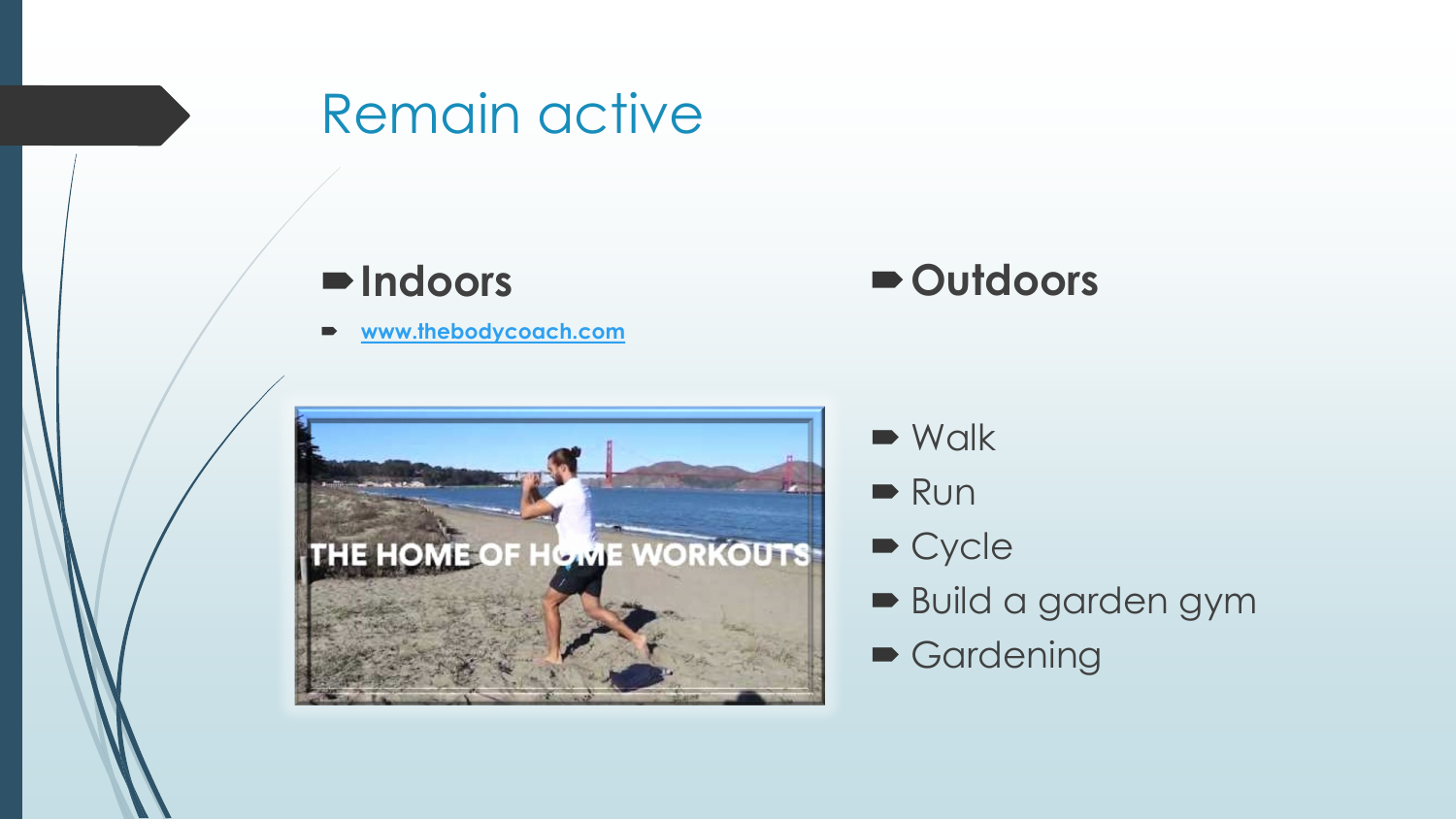

#### **Indoors**

**[www.thebodycoach.com](http://www.thebodycoach.com/)**



- $\blacksquare$  Walk
- $\blacksquare$  Run
- Cycle
- Build a garden gym
- Gardening

**Outdoors**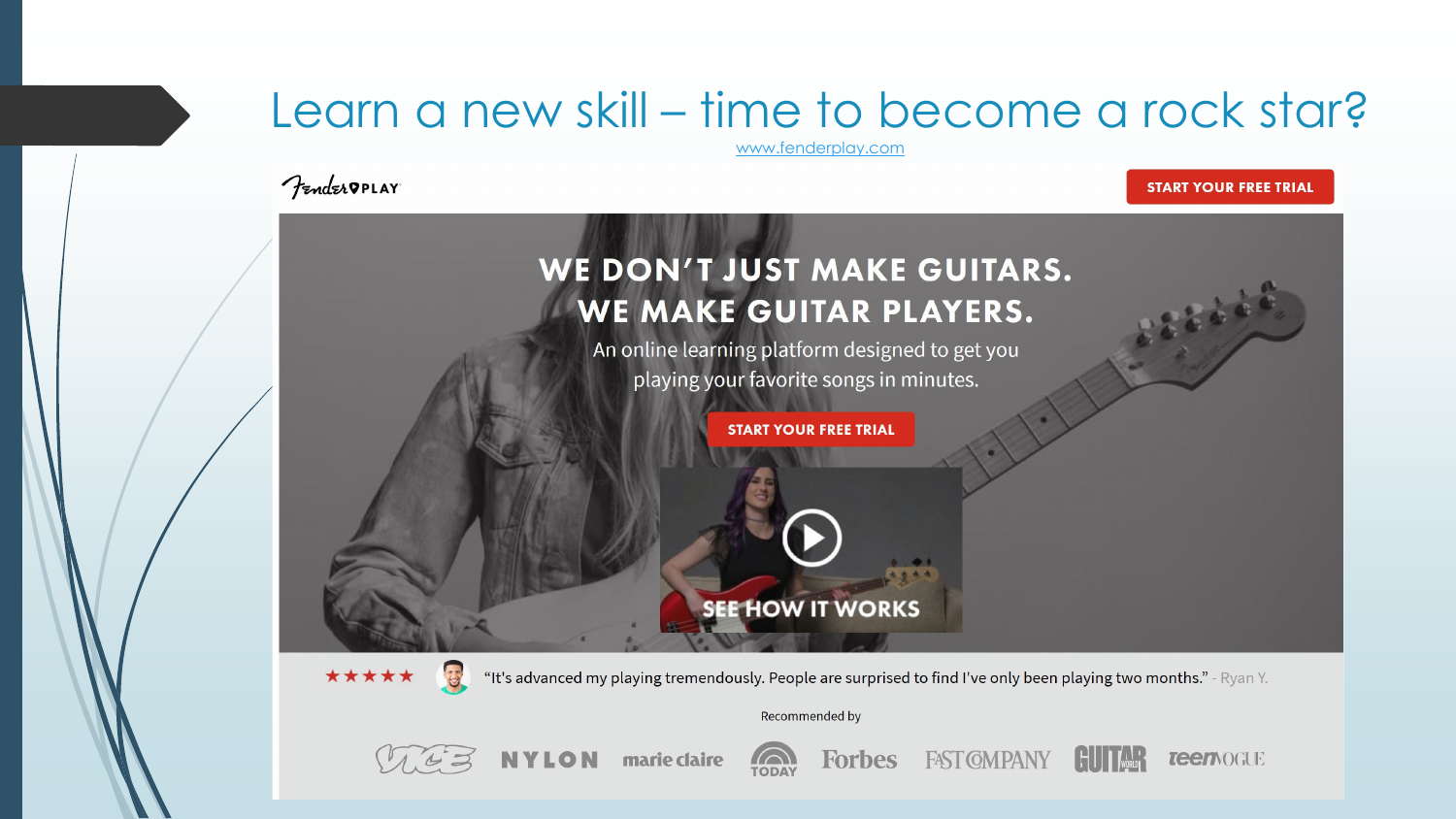#### Learn a new skill – time to become a rock star?

[www.fenderplay.com](http://www.fenderplay.com/)

*Fender* PPLAY

#### **START YOUR FREE TRIAL**

**TeenVOGUE** 





marie claire NYLON



**FAST CMPANY**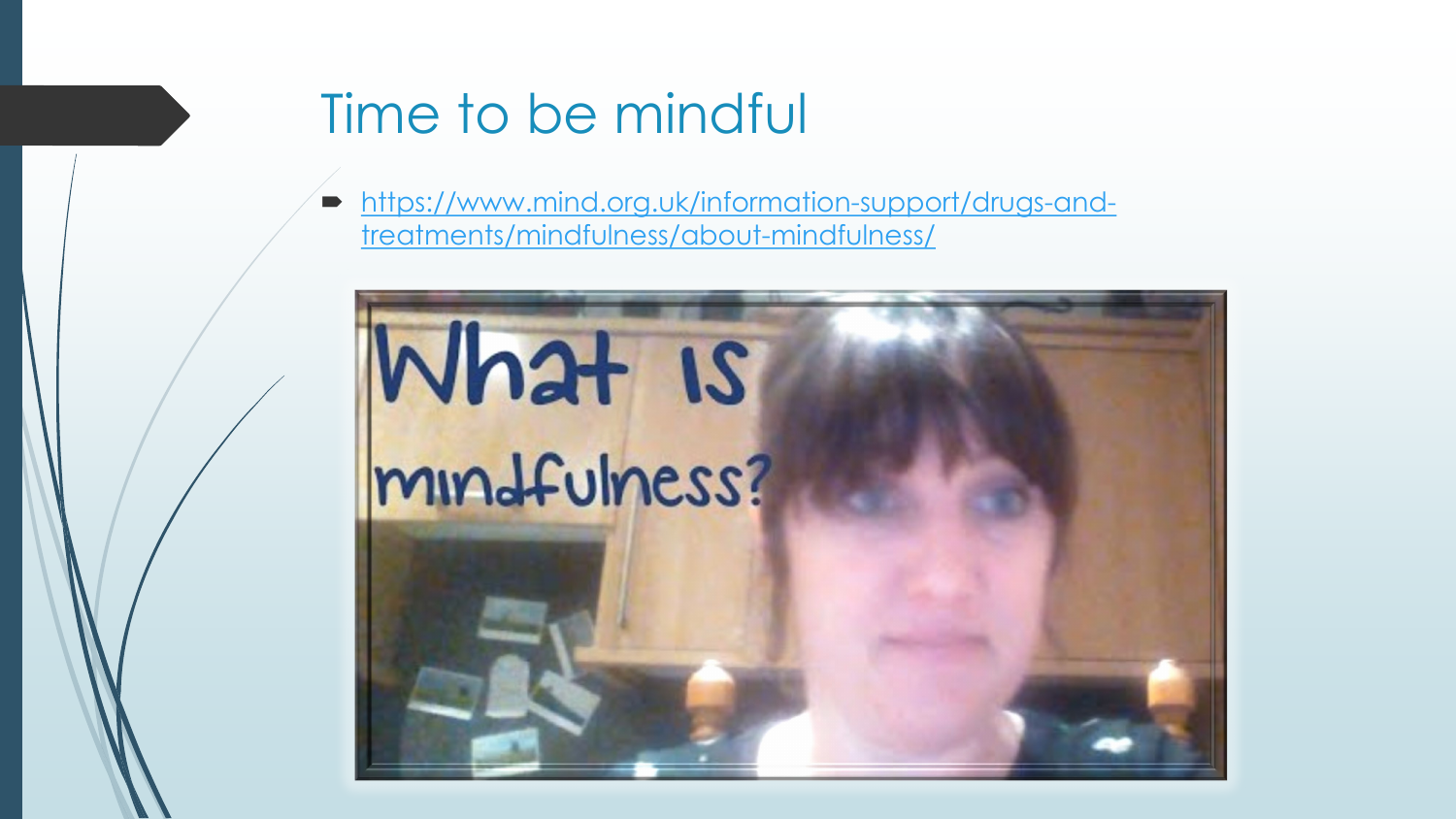# Time to be mindful

[https://www.mind.org.uk/information-support/drugs-and](https://www.mind.org.uk/information-support/drugs-and-treatments/mindfulness/about-mindfulness/)treatments/mindfulness/about-mindfulness/